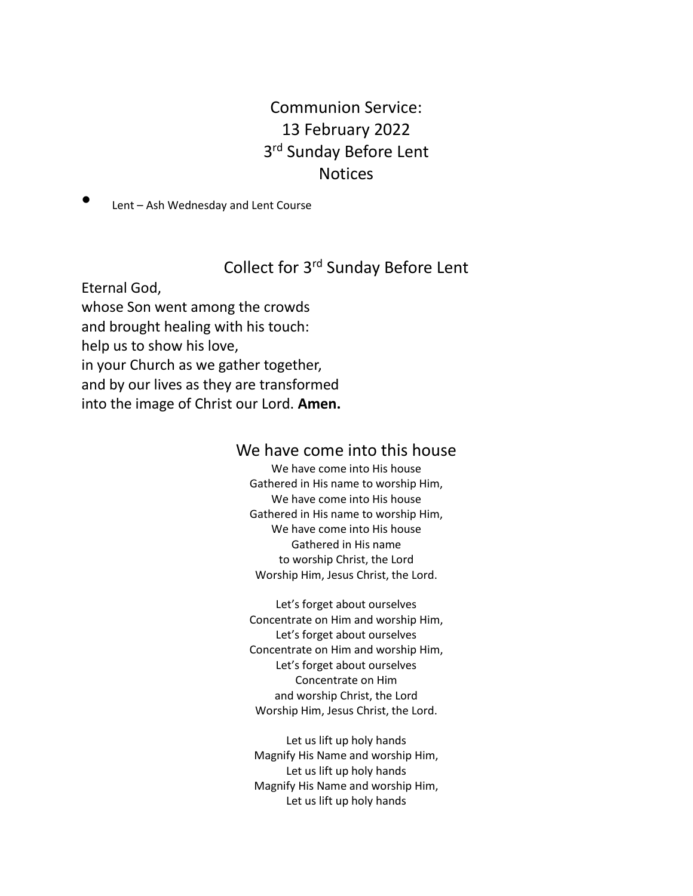# Communion Service: 13 February 2022 3<sup>rd</sup> Sunday Before Lent **Notices**

Lent – Ash Wednesday and Lent Course

## Collect for 3rd Sunday Before Lent

Eternal God,

whose Son went among the crowds and brought healing with his touch: help us to show his love, in your Church as we gather together, and by our lives as they are transformed into the image of Christ our Lord. **Amen.**

### We have come into this house

We have come into His house Gathered in His name to worship Him, We have come into His house Gathered in His name to worship Him, We have come into His house Gathered in His name to worship Christ, the Lord Worship Him, Jesus Christ, the Lord.

Let's forget about ourselves Concentrate on Him and worship Him, Let's forget about ourselves Concentrate on Him and worship Him, Let's forget about ourselves Concentrate on Him and worship Christ, the Lord Worship Him, Jesus Christ, the Lord.

Let us lift up holy hands Magnify His Name and worship Him, Let us lift up holy hands Magnify His Name and worship Him, Let us lift up holy hands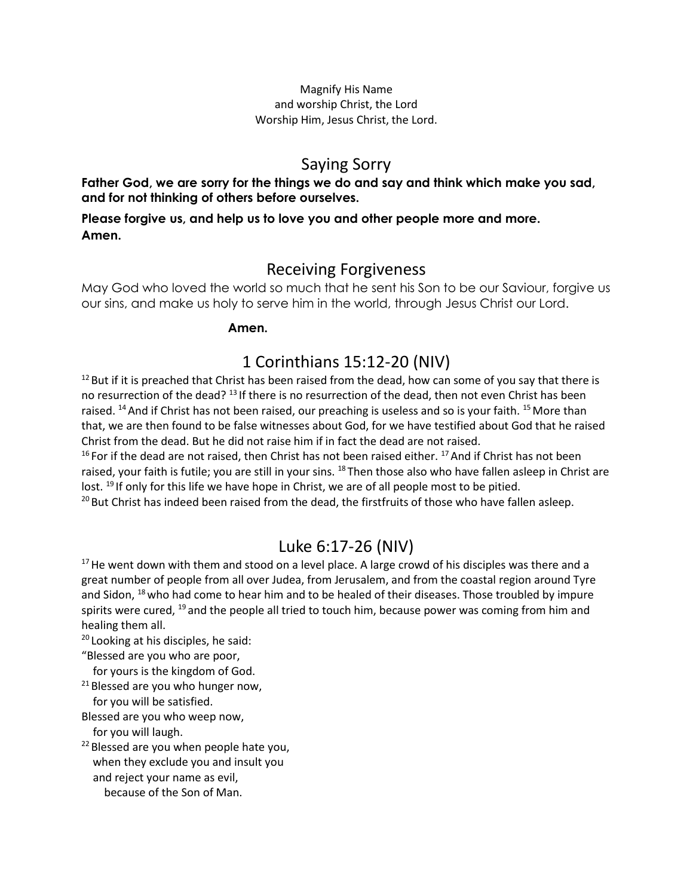#### Magnify His Name and worship Christ, the Lord Worship Him, Jesus Christ, the Lord.

## Saying Sorry

**Father God, we are sorry for the things we do and say and think which make you sad, and for not thinking of others before ourselves.**

**Please forgive us, and help us to love you and other people more and more. Amen.**

## Receiving Forgiveness

May God who loved the world so much that he sent his Son to be our Saviour, forgive us our sins, and make us holy to serve him in the world, through Jesus Christ our Lord.

#### **Amen.**

# 1 Corinthians 15:12-20 (NIV)

 $12$  But if it is preached that Christ has been raised from the dead, how can some of you say that there is no resurrection of the dead?<sup>13</sup> If there is no resurrection of the dead, then not even Christ has been raised. <sup>14</sup> And if Christ has not been raised, our preaching is useless and so is your faith. <sup>15</sup> More than that, we are then found to be false witnesses about God, for we have testified about God that he raised Christ from the dead. But he did not raise him if in fact the dead are not raised.

<sup>16</sup> For if the dead are not raised, then Christ has not been raised either. <sup>17</sup> And if Christ has not been raised, your faith is futile; you are still in your sins. <sup>18</sup> Then those also who have fallen asleep in Christ are lost. <sup>19</sup> If only for this life we have hope in Christ, we are of all people most to be pitied.

<sup>20</sup> But Christ has indeed been raised from the dead, the firstfruits of those who have fallen asleep.

# Luke 6:17-26 (NIV)

<sup>17</sup> He went down with them and stood on a level place. A large crowd of his disciples was there and a great number of people from all over Judea, from Jerusalem, and from the coastal region around Tyre and Sidon, <sup>18</sup> who had come to hear him and to be healed of their diseases. Those troubled by impure spirits were cured, <sup>19</sup> and the people all tried to touch him, because power was coming from him and healing them all.

<sup>20</sup> Looking at his disciples, he said:

"Blessed are you who are poor,

for yours is the kingdom of God. <sup>21</sup> Blessed are you who hunger now,

for you will be satisfied.

Blessed are you who weep now, for you will laugh.

<sup>22</sup> Blessed are you when people hate you, when they exclude you and insult you and reject your name as evil, because of the Son of Man.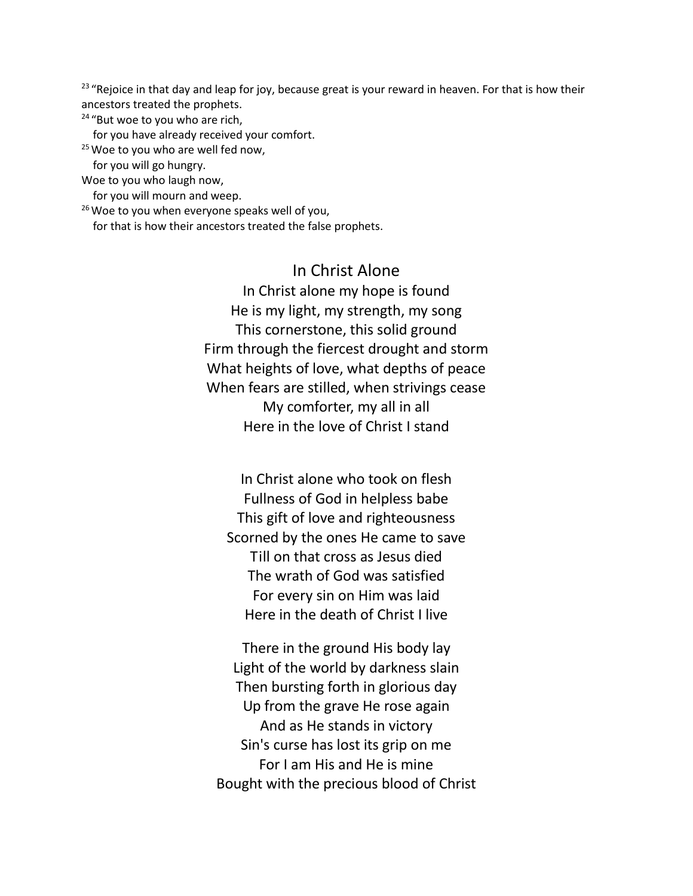$23$  "Rejoice in that day and leap for joy, because great is your reward in heaven. For that is how their ancestors treated the prophets.

<sup>24</sup> "But woe to you who are rich,

for you have already received your comfort.

<sup>25</sup> Woe to you who are well fed now,

for you will go hungry.

Woe to you who laugh now,

for you will mourn and weep.

<sup>26</sup> Woe to you when everyone speaks well of you, for that is how their ancestors treated the false prophets.

#### In Christ Alone

In Christ alone my hope is found He is my light, my strength, my song This cornerstone, this solid ground Firm through the fiercest drought and storm What heights of love, what depths of peace When fears are stilled, when strivings cease My comforter, my all in all Here in the love of Christ I stand

In Christ alone who took on flesh Fullness of God in helpless babe This gift of love and righteousness Scorned by the ones He came to save Till on that cross as Jesus died The wrath of God was satisfied For every sin on Him was laid Here in the death of Christ I live

There in the ground His body lay Light of the world by darkness slain Then bursting forth in glorious day Up from the grave He rose again And as He stands in victory Sin's curse has lost its grip on me For I am His and He is mine Bought with the precious blood of Christ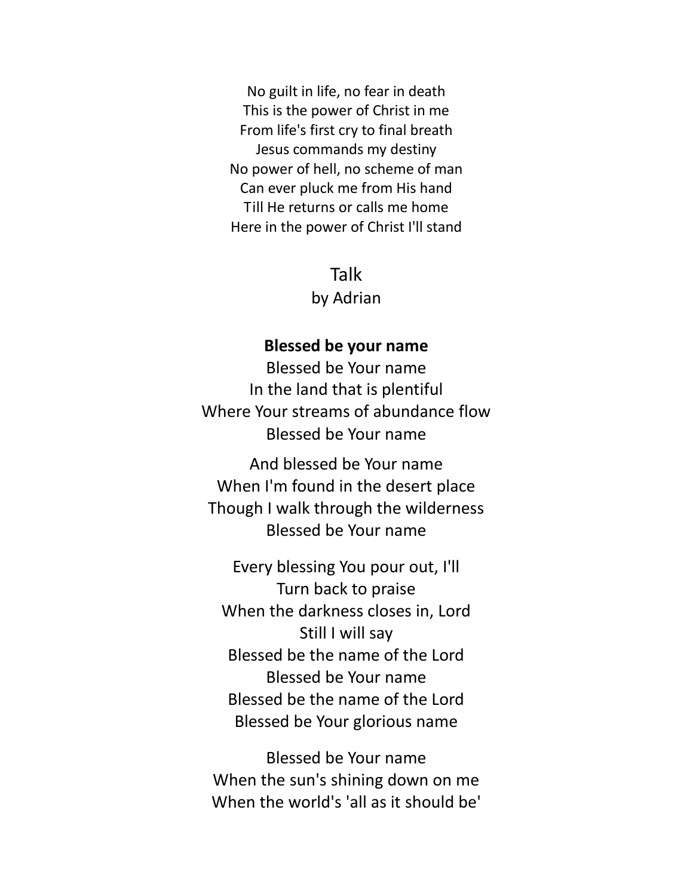No guilt in life, no fear in death This is the power of Christ in me From life's first cry to final breath Jesus commands my destiny No power of hell, no scheme of man Can ever pluck me from His hand Till He returns or calls me home Here in the power of Christ I'll stand

Talk

by Adrian

### **Blessed be your name**

Blessed be Your name In the land that is plentiful Where Your streams of abundance flow Blessed be Your name

And blessed be Your name When I'm found in the desert place Though I walk through the wilderness Blessed be Your name

Every blessing You pour out, I'll Turn back to praise When the darkness closes in, Lord Still I will say Blessed be the name of the Lord Blessed be Your name Blessed be the name of the Lord Blessed be Your glorious name

Blessed be Your name When the sun's shining down on me When the world's 'all as it should be'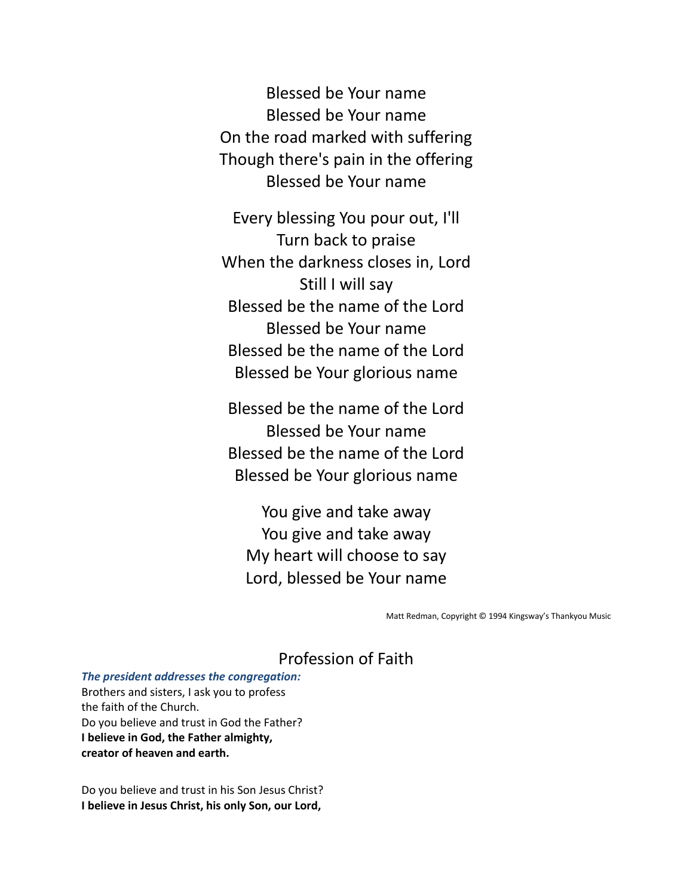Blessed be Your name Blessed be Your name On the road marked with suffering Though there's pain in the offering Blessed be Your name

Every blessing You pour out, I'll Turn back to praise When the darkness closes in, Lord Still I will say Blessed be the name of the Lord Blessed be Your name Blessed be the name of the Lord Blessed be Your glorious name

Blessed be the name of the Lord Blessed be Your name Blessed be the name of the Lord Blessed be Your glorious name

You give and take away You give and take away My heart will choose to say Lord, blessed be Your name

Matt Redman, Copyright © 1994 Kingsway's Thankyou Music

## Profession of Faith

*The president addresses the congregation:* Brothers and sisters, I ask you to profess the faith of the Church. Do you believe and trust in God the Father? **I believe in God, the Father almighty, creator of heaven and earth.**

Do you believe and trust in his Son Jesus Christ? **I believe in Jesus Christ, his only Son, our Lord,**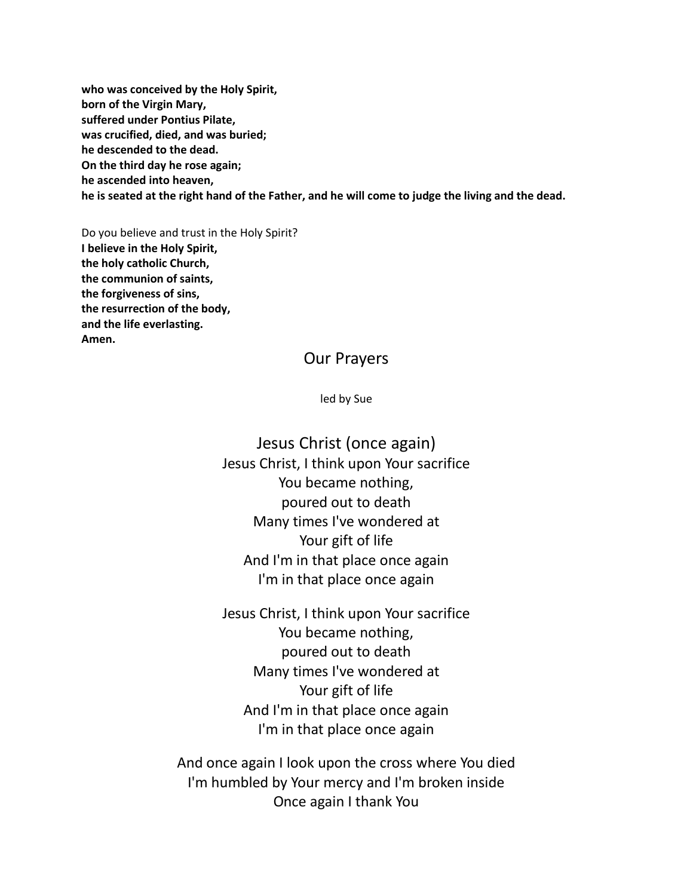**who was conceived by the Holy Spirit, born of the Virgin Mary, suffered under Pontius Pilate, was crucified, died, and was buried; he descended to the dead. On the third day he rose again; he ascended into heaven, he is seated at the right hand of the Father, and he will come to judge the living and the dead.**

Do you believe and trust in the Holy Spirit? **I believe in the Holy Spirit, the holy catholic Church, the communion of saints, the forgiveness of sins, the resurrection of the body, and the life everlasting. Amen.**

### Our Prayers

led by Sue

Jesus Christ (once again) Jesus Christ, I think upon Your sacrifice You became nothing, poured out to death Many times I've wondered at Your gift of life And I'm in that place once again I'm in that place once again

Jesus Christ, I think upon Your sacrifice You became nothing, poured out to death Many times I've wondered at Your gift of life And I'm in that place once again I'm in that place once again

And once again I look upon the cross where You died I'm humbled by Your mercy and I'm broken inside Once again I thank You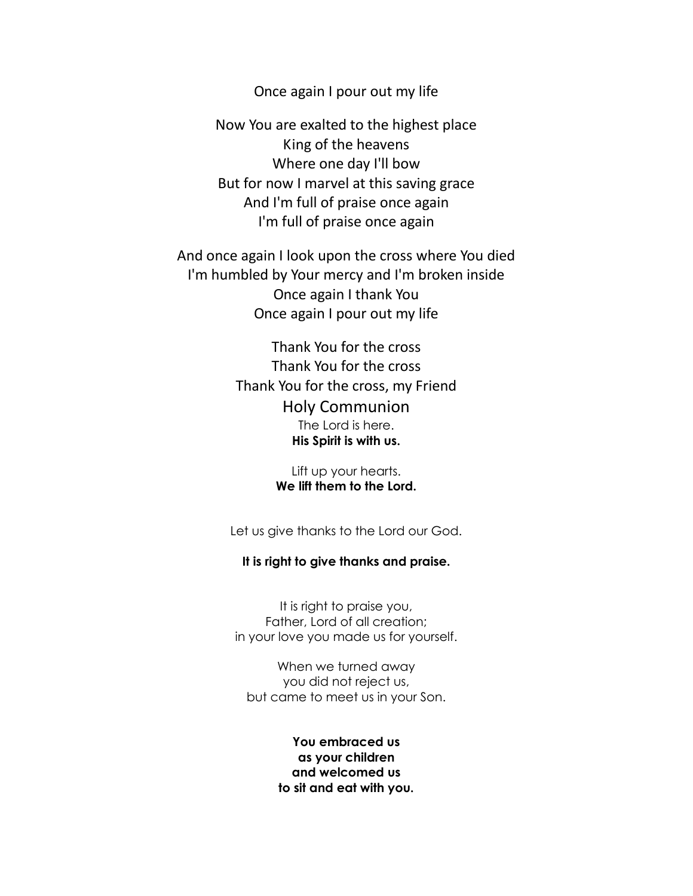Once again I pour out my life

Now You are exalted to the highest place King of the heavens Where one day I'll bow But for now I marvel at this saving grace And I'm full of praise once again I'm full of praise once again

And once again I look upon the cross where You died I'm humbled by Your mercy and I'm broken inside Once again I thank You Once again I pour out my life

> Thank You for the cross Thank You for the cross Thank You for the cross, my Friend Holy Communion The Lord is here. **His Spirit is with us.**

> > Lift up your hearts. **We lift them to the Lord.**

Let us give thanks to the Lord our God.

#### **It is right to give thanks and praise.**

It is right to praise you, Father, Lord of all creation; in your love you made us for yourself.

When we turned away you did not reject us, but came to meet us in your Son.

> **You embraced us as your children and welcomed us to sit and eat with you.**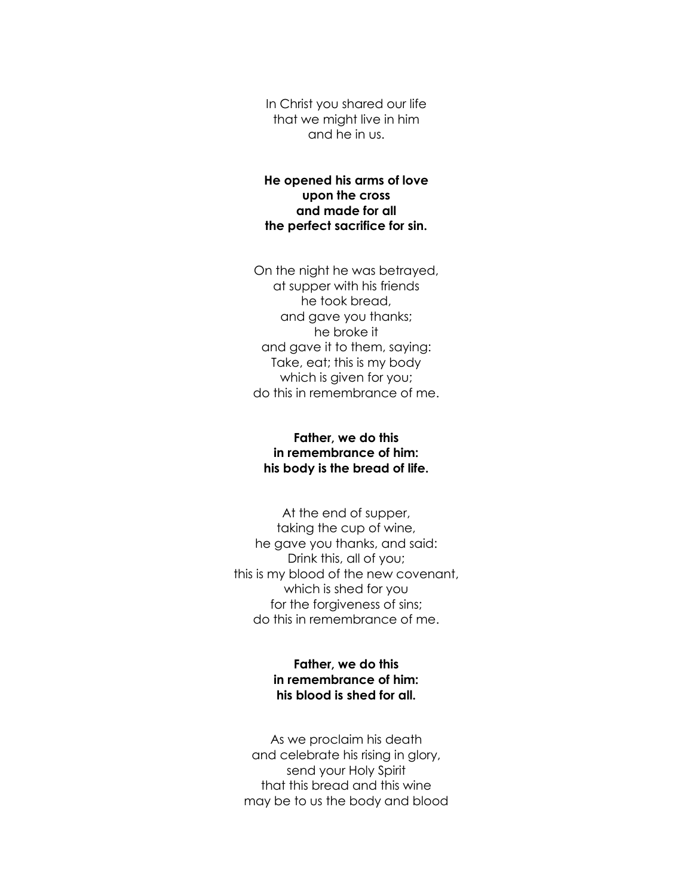In Christ you shared our life that we might live in him and he in us.

#### **He opened his arms of love upon the cross and made for all the perfect sacrifice for sin.**

On the night he was betrayed, at supper with his friends he took bread, and gave you thanks; he broke it and gave it to them, saying: Take, eat; this is my body which is given for you; do this in remembrance of me.

#### **Father, we do this in remembrance of him: his body is the bread of life.**

At the end of supper, taking the cup of wine, he gave you thanks, and said: Drink this, all of you; this is my blood of the new covenant, which is shed for you for the forgiveness of sins; do this in remembrance of me.

#### **Father, we do this in remembrance of him: his blood is shed for all.**

As we proclaim his death and celebrate his rising in glory, send your Holy Spirit that this bread and this wine may be to us the body and blood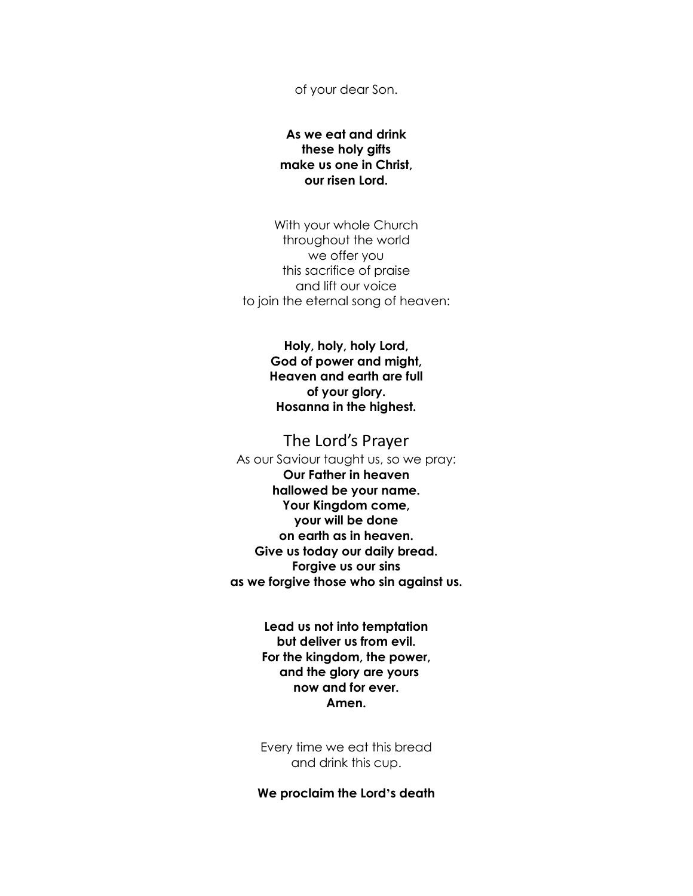of your dear Son.

#### **As we eat and drink these holy gifts make us one in Christ, our risen Lord.**

With your whole Church throughout the world we offer you this sacrifice of praise and lift our voice to join the eternal song of heaven:

> **Holy, holy, holy Lord, God of power and might, Heaven and earth are full of your glory. Hosanna in the highest.**

### The Lord's Prayer

As our Saviour taught us, so we pray: **Our Father in heaven hallowed be your name. Your Kingdom come, your will be done on earth as in heaven. Give us today our daily bread. Forgive us our sins as we forgive those who sin against us.**

> **Lead us not into temptation but deliver us from evil. For the kingdom, the power, and the glory are yours now and for ever. Amen.**

> Every time we eat this bread and drink this cup.

#### **We proclaim the Lord's death**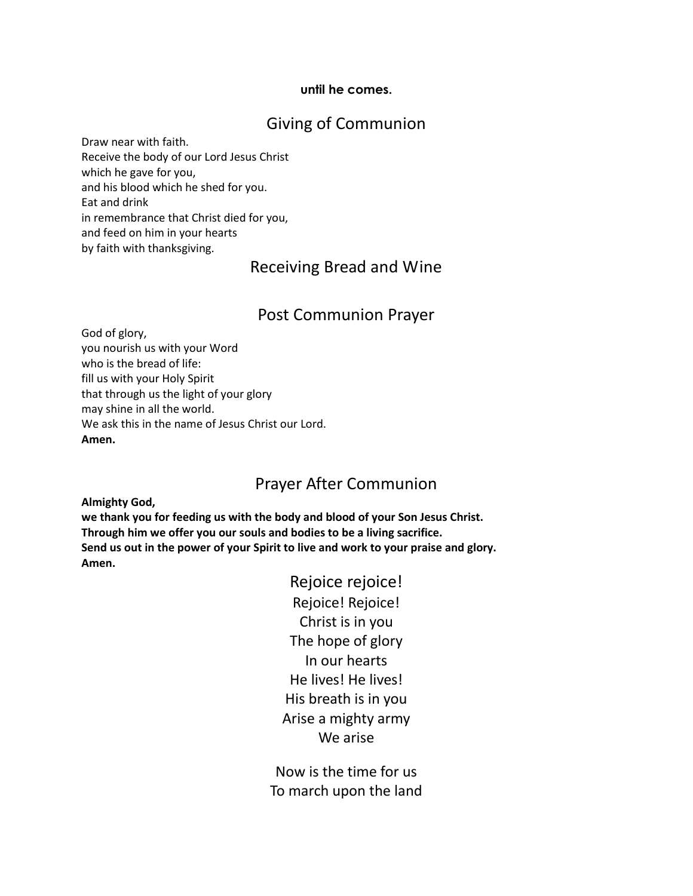#### **until he comes.**

## Giving of Communion

Draw near with faith. Receive the body of our Lord Jesus Christ which he gave for you, and his blood which he shed for you. Eat and drink in remembrance that Christ died for you, and feed on him in your hearts by faith with thanksgiving.

### Receiving Bread and Wine

### Post Communion Prayer

God of glory, you nourish us with your Word who is the bread of life: fill us with your Holy Spirit that through us the light of your glory may shine in all the world. We ask this in the name of Jesus Christ our Lord. **Amen.**

## Prayer After Communion

**Almighty God,**

**we thank you for feeding us with the body and blood of your Son Jesus Christ. Through him we offer you our souls and bodies to be a living sacrifice. Send us out in the power of your Spirit to live and work to your praise and glory. Amen.**

> Rejoice rejoice! Rejoice! Rejoice! Christ is in you The hope of glory In our hearts He lives! He lives! His breath is in you Arise a mighty army We arise

Now is the time for us To march upon the land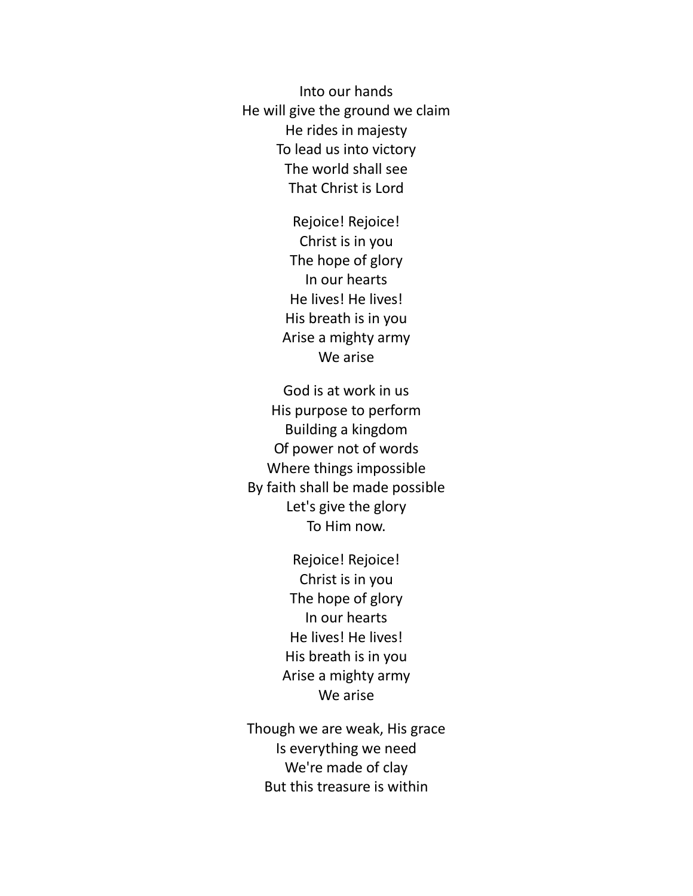Into our hands He will give the ground we claim He rides in majesty To lead us into victory The world shall see That Christ is Lord

> Rejoice! Rejoice! Christ is in you The hope of glory In our hearts He lives! He lives! His breath is in you Arise a mighty army We arise

God is at work in us His purpose to perform Building a kingdom Of power not of words Where things impossible By faith shall be made possible Let's give the glory To Him now.

> Rejoice! Rejoice! Christ is in you The hope of glory In our hearts He lives! He lives! His breath is in you Arise a mighty army We arise

Though we are weak, His grace Is everything we need We're made of clay But this treasure is within